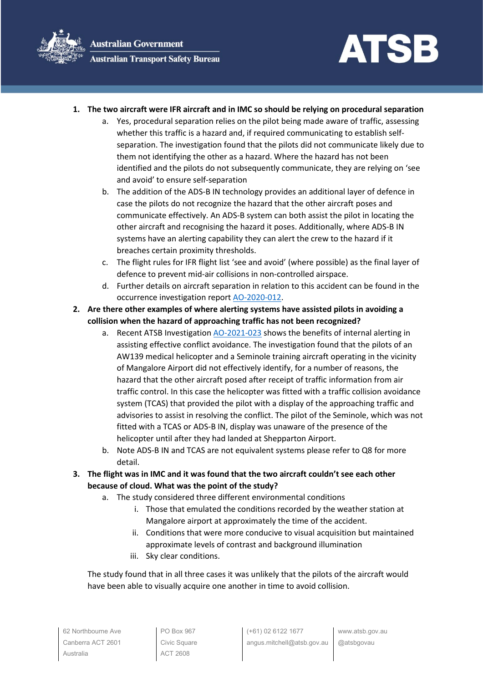

## **1. The two aircraft were IFR aircraft and in IMC so should be relying on procedural separation**

- a. Yes, procedural separation relies on the pilot being made aware of traffic, assessing whether this traffic is a hazard and, if required communicating to establish selfseparation. The investigation found that the pilots did not communicate likely due to them not identifying the other as a hazard. Where the hazard has not been identified and the pilots do not subsequently communicate, they are relying on 'see and avoid' to ensure self-separation
- b. The addition of the ADS-B IN technology provides an additional layer of defence in case the pilots do not recognize the hazard that the other aircraft poses and communicate effectively. An ADS-B system can both assist the pilot in locating the other aircraft and recognising the hazard it poses. Additionally, where ADS-B IN systems have an alerting capability they can alert the crew to the hazard if it breaches certain proximity thresholds.
- c. The flight rules for IFR flight list 'see and avoid' (where possible) as the final layer of defence to prevent mid-air collisions in non-controlled airspace.
- d. Further details on aircraft separation in relation to this accident can be found in the occurrence investigation report [AO-2020-012.](https://www.atsb.gov.au/publications/investigation_reports/2022/aair/ao-2022-012/)
- **2. Are there other examples of where alerting systems have assisted pilots in avoiding a collision when the hazard of approaching traffic has not been recognized?**
	- a. Recent ATSB Investigation [AO-2021-023](https://www.atsb.gov.au/publications/investigation_reports/2020/aair/ao-2020-023/) shows the benefits of internal alerting in assisting effective conflict avoidance. The investigation found that the pilots of an AW139 medical helicopter and a Seminole training aircraft operating in the vicinity of Mangalore Airport did not effectively identify, for a number of reasons, the hazard that the other aircraft posed after receipt of traffic information from air traffic control. In this case the helicopter was fitted with a traffic collision avoidance system (TCAS) that provided the pilot with a display of the approaching traffic and advisories to assist in resolving the conflict. The pilot of the Seminole, which was not fitted with a TCAS or ADS-B IN, display was unaware of the presence of the helicopter until after they had landed at Shepparton Airport.
	- b. Note ADS-B IN and TCAS are not equivalent systems please refer to Q8 for more detail.
- **3. The flight was in IMC and it was found that the two aircraft couldn't see each other because of cloud. What was the point of the study?**
	- a. The study considered three different environmental conditions
		- i. Those that emulated the conditions recorded by the weather station at Mangalore airport at approximately the time of the accident.
		- ii. Conditions that were more conducive to visual acquisition but maintained approximate levels of contrast and background illumination
		- iii. Sky clear conditions.

The study found that in all three cases it was unlikely that the pilots of the aircraft would have been able to visually acquire one another in time to avoid collision.

PO Box 967 Civic Square ACT 2608

www.atsb.gov.au @atsbgovau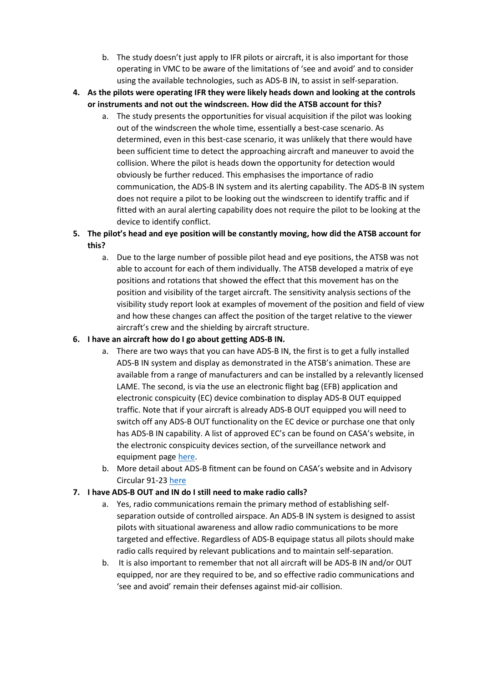- b. The study doesn't just apply to IFR pilots or aircraft, it is also important for those operating in VMC to be aware of the limitations of 'see and avoid' and to consider using the available technologies, such as ADS-B IN, to assist in self-separation.
- **4. As the pilots were operating IFR they were likely heads down and looking at the controls or instruments and not out the windscreen. How did the ATSB account for this?**
	- a. The study presents the opportunities for visual acquisition if the pilot was looking out of the windscreen the whole time, essentially a best-case scenario. As determined, even in this best-case scenario, it was unlikely that there would have been sufficient time to detect the approaching aircraft and maneuver to avoid the collision. Where the pilot is heads down the opportunity for detection would obviously be further reduced. This emphasises the importance of radio communication, the ADS-B IN system and its alerting capability. The ADS-B IN system does not require a pilot to be looking out the windscreen to identify traffic and if fitted with an aural alerting capability does not require the pilot to be looking at the device to identify conflict.
- **5. The pilot's head and eye position will be constantly moving, how did the ATSB account for this?**
	- a. Due to the large number of possible pilot head and eye positions, the ATSB was not able to account for each of them individually. The ATSB developed a matrix of eye positions and rotations that showed the effect that this movement has on the position and visibility of the target aircraft. The sensitivity analysis sections of the visibility study report look at examples of movement of the position and field of view and how these changes can affect the position of the target relative to the viewer aircraft's crew and the shielding by aircraft structure.

## **6. I have an aircraft how do I go about getting ADS-B IN.**

- a. There are two ways that you can have ADS-B IN, the first is to get a fully installed ADS-B IN system and display as demonstrated in the ATSB's animation. These are available from a range of manufacturers and can be installed by a relevantly licensed LAME. The second, is via the use an electronic flight bag (EFB) application and electronic conspicuity (EC) device combination to display ADS-B OUT equipped traffic. Note that if your aircraft is already ADS-B OUT equipped you will need to switch off any ADS-B OUT functionality on the EC device or purchase one that only has ADS-B IN capability. A list of approved EC's can be found on CASA's website, in the electronic conspicuity devices section, of the surveillance network and equipment page [here.](https://www.casa.gov.au/operations-safety-and-travel/airspace/communications-navigation-and-surveillance/surveillance-network-and-equipment)
- b. More detail about ADS-B fitment can be found on CASA's website and in Advisory Circular 91-23 [here](https://www.google.com/url?sa=t&rct=j&q=&esrc=s&source=web&cd=&ved=2ahUKEwjUpJWm1KH4AhVc2DgGHVMxBdIQFnoECDAQAQ&url=https%3A%2F%2Fwww.casa.gov.au%2Fads-b-enhancing-situational-awareness&usg=AOvVaw2KjpmcsKqcuaNVT2py34TM)

## **7. I have ADS-B OUT and IN do I still need to make radio calls?**

- a. Yes, radio communications remain the primary method of establishing selfseparation outside of controlled airspace. An ADS-B IN system is designed to assist pilots with situational awareness and allow radio communications to be more targeted and effective. Regardless of ADS-B equipage status all pilots should make radio calls required by relevant publications and to maintain self-separation.
- b. It is also important to remember that not all aircraft will be ADS-B IN and/or OUT equipped, nor are they required to be, and so effective radio communications and 'see and avoid' remain their defenses against mid-air collision.